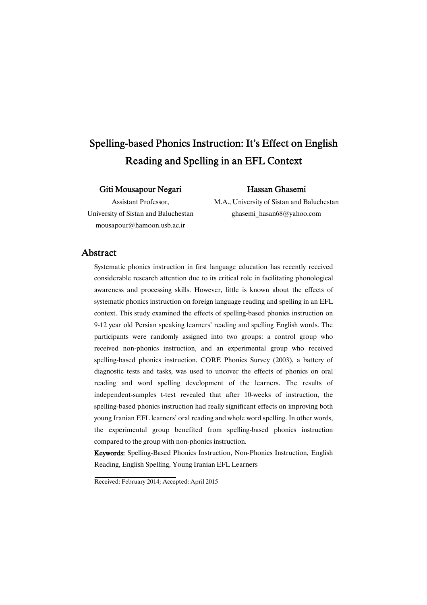# Spelling-based Phonics Instruction: It's Effect on English Reading and Spelling in an EFL Context

#### Giti Mousapour Negari

#### HassanGhasemi

Assistant Professor, University of Sistan and Baluchestan mousapour@hamoon.usb.ac.ir

M.A., University of Sistan and Baluchestan ghasemi\_hasan68@yahoo.com

# Abstract

Systematic phonics instruction in first language education has recently received considerable research attention due to its critical role in facilitating phonological awareness and processing skills. However, little is known about the effects of systematic phonics instruction on foreign language reading and spelling in an EFL context. This study examined the effects of spelling-based phonics instruction on 9-12 year old Persian speaking learners' reading and spelling English words. The participants were randomly assigned into two groups: a control group who received non-phonics instruction, and an experimental group who received spelling-based phonics instruction. CORE Phonics Survey (2003), a battery of diagnostic tests and tasks, was used to uncover the effects of phonics on oral reading and word spelling development of the learners. The results of independent-samples t-test revealed that after 10-weeks of instruction, the spelling-based phonics instruction had really significant effects on improving both young Iranian EFL learners' oral reading and whole word spelling. In other words, the experimental group benefited from spelling-based phonics instruction compared to the group with non-phonics instruction.

Keywords: Spelling-Based Phonics Instruction, Non-Phonics Instruction, English Reading, English Spelling, Young Iranian EFL Learners

Received: February 2014; Accepted: April 2015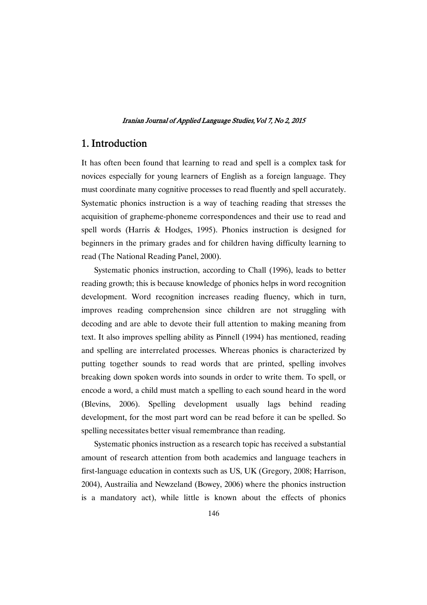# 1.Introduction

It has often been found that learning to read and spell is a complex task for novices especially for young learners of English as a foreign language. They must coordinate many cognitive processes to read fluently and spell accurately. Systematic phonics instruction is a way of teaching reading that stresses the acquisition of grapheme-phoneme correspondences and their use to read and spell words (Harris & Hodges, 1995). Phonics instruction is designed for beginners in the primary grades and for children having difficulty learning to read (The National Reading Panel, 2000).

Systematic phonics instruction, according to Chall (1996), leads to better reading growth; this is because knowledge of phonics helps in word recognition development. Word recognition increases reading fluency, which in turn, improves reading comprehension since children are not struggling with decoding and are able to devote their full attention to making meaning from text. It also improves spelling ability as Pinnell (1994) has mentioned, reading and spelling are interrelated processes. Whereas phonics is characterized by putting together sounds to read words that are printed, spelling involves breaking down spoken words into sounds in order to write them. To spell, or encode a word, a child must match a spelling to each sound heard in the word (Blevins, 2006). Spelling development usually lags behind reading development, for the most part word can be read before it can be spelled. So spelling necessitates better visual remembrance than reading.

Systematic phonics instruction as a research topic has received a substantial amount of research attention from both academics and language teachers in first-language education in contexts such as US, UK (Gregory, 2008; Harrison, 2004), Austrailia and Newzeland (Bowey, 2006) where the phonics instruction is a mandatory act), while little is known about the effects of phonics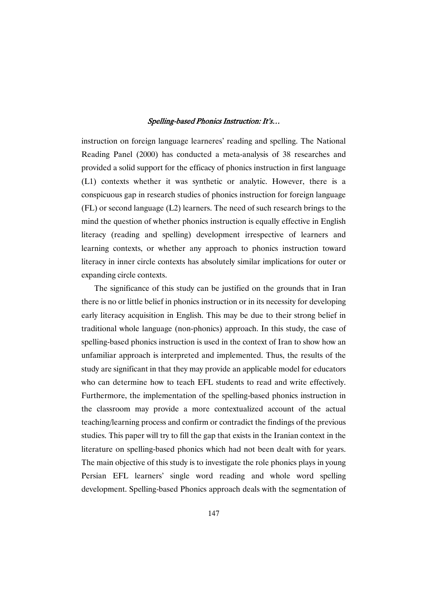instruction on foreign language learneres' reading and spelling. The National Reading Panel (2000) has conducted a meta-analysis of 38 researches and provided a solid support for the efficacy of phonics instruction in first language (L1) contexts whether it was synthetic or analytic. However, there is a conspicuous gap in research studies of phonics instruction for foreign language (FL) or second language (L2) learners. The need of such research brings to the mind the question of whether phonics instruction is equally effective in English literacy (reading and spelling) development irrespective of learners and learning contexts, or whether any approach to phonics instruction toward literacy in inner circle contexts has absolutely similar implications for outer or expanding circle contexts.

The significance of this study can be justified on the grounds that in Iran there is no or little belief in phonics instruction or in its necessity for developing early literacy acquisition in English. This may be due to their strong belief in traditional whole language (non-phonics) approach. In this study, the case of spelling-based phonics instruction is used in the context of Iran to show how an unfamiliar approach is interpreted and implemented. Thus, the results of the study are significant in that they may provide an applicable model for educators who can determine how to teach EFL students to read and write effectively. Furthermore, the implementation of the spelling-based phonics instruction in the classroom may provide a more contextualized account of the actual teaching/learning process and confirm or contradict the findings of the previous studies. This paper will try to fill the gap that exists in the Iranian context in the literature on spelling-based phonics which had not been dealt with for years. The main objective of this study is to investigate the role phonics plays in young Persian EFL learners' single word reading and whole word spelling development. Spelling-based Phonics approach deals with the segmentation of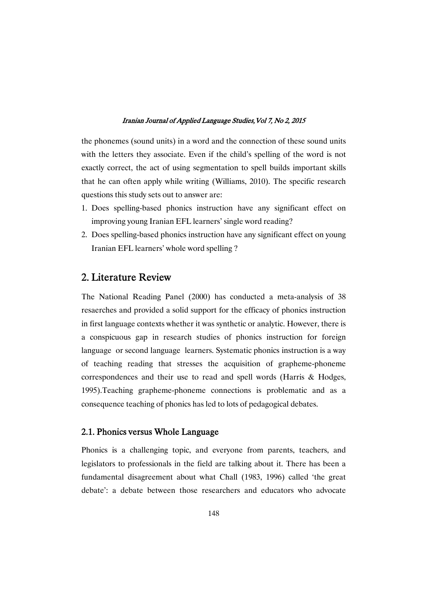the phonemes (sound units) in a word and the connection of these sound units with the letters they associate. Even if the child's spelling of the word is not exactly correct, the act of using segmentation to spell builds important skills that he can often apply while writing (Williams, 2010). The specific research questions this study sets out to answer are:

- 1. Does spelling-based phonics instruction have any significant effect on improving young Iranian EFL learners' single word reading?
- 2. Does spelling-based phonics instruction have any significant effect on young Iranian EFL learners' whole word spelling ?

# 2. Literature Review

The National Reading Panel (2000) has conducted a meta-analysis of 38 resaerches and provided a solid support for the efficacy of phonics instruction in first language contexts whether it was synthetic or analytic. However, there is a conspicuous gap in research studies of phonics instruction for foreign language or second language learners. Systematic phonics instruction is a way of teaching reading that stresses the acquisition of grapheme-phoneme correspondences and their use to read and spell words (Harris & Hodges, 1995).Teaching grapheme-phoneme connections is problematic and as a consequence teaching of phonics has led to lots of pedagogical debates.

### 2.1. Phonics versus Whole Language

Phonics is a challenging topic, and everyone from parents, teachers, and legislators to professionals in the field are talking about it. There has been a fundamental disagreement about what Chall (1983, 1996) called 'the great debate': a debate between those researchers and educators who advocate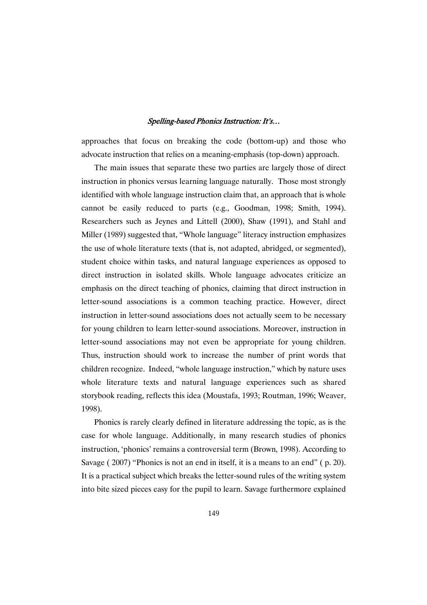approaches that focus on breaking the code (bottom-up) and those who advocate instruction that relies on a meaning-emphasis (top-down) approach.

The main issues that separate these two parties are largely those of direct instruction in phonics versus learning language naturally. Those most strongly identified with whole language instruction claim that, an approach that is whole cannot be easily reduced to parts (e.g., Goodman, 1998; Smith, 1994). Researchers such as Jeynes and Littell (2000), Shaw (1991), and Stahl and Miller (1989) suggested that, "Whole language" literacy instruction emphasizes the use of whole literature texts (that is, not adapted, abridged, or segmented), student choice within tasks, and natural language experiences as opposed to direct instruction in isolated skills. Whole language advocates criticize an emphasis on the direct teaching of phonics, claiming that direct instruction in letter-sound associations is a common teaching practice. However, direct instruction in letter-sound associations does not actually seem to be necessary for young children to learn letter-sound associations. Moreover, instruction in letter-sound associations may not even be appropriate for young children. Thus, instruction should work to increase the number of print words that children recognize. Indeed, "whole language instruction," which by nature uses whole literature texts and natural language experiences such as shared storybook reading, reflects this idea (Moustafa, 1993; Routman, 1996; Weaver, 1998).

Phonics is rarely clearly defined in literature addressing the topic, as is the case for whole language. Additionally, in many research studies of phonics instruction, 'phonics' remains a controversial term (Brown, 1998). According to Savage ( 2007) "Phonics is not an end in itself, it is a means to an end" ( p. 20). It is a practical subject which breaks the letter-sound rules of the writing system into bite sized pieces easy for the pupil to learn. Savage furthermore explained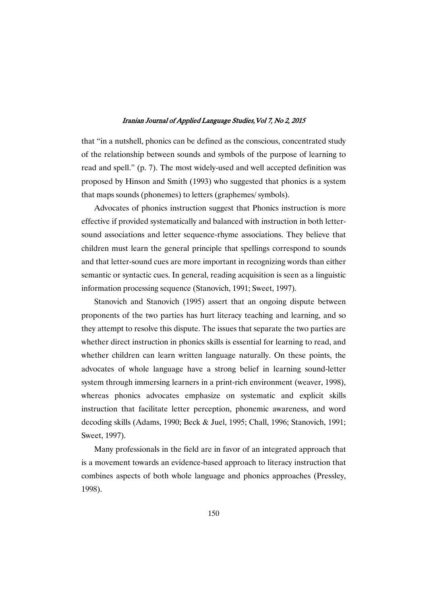that "in a nutshell, phonics can be defined as the conscious, concentrated study of the relationship between sounds and symbols of the purpose of learning to read and spell." (p. 7). The most widely-used and well accepted definition was proposed by Hinson and Smith (1993) who suggested that phonics is a system that maps sounds (phonemes) to letters (graphemes/ symbols).

Advocates of phonics instruction suggest that Phonics instruction is more effective if provided systematically and balanced with instruction in both lettersound associations and letter sequence-rhyme associations. They believe that children must learn the general principle that spellings correspond to sounds and that letter-sound cues are more important in recognizing words than either semantic or syntactic cues. In general, reading acquisition is seen as a linguistic information processing sequence (Stanovich, 1991; Sweet, 1997).

Stanovich and Stanovich (1995) assert that an ongoing dispute between proponents of the two parties has hurt literacy teaching and learning, and so they attempt to resolve this dispute. The issues that separate the two parties are whether direct instruction in phonics skills is essential for learning to read, and whether children can learn written language naturally. On these points, the advocates of whole language have a strong belief in learning sound-letter system through immersing learners in a print-rich environment (weaver, 1998), whereas phonics advocates emphasize on systematic and explicit skills instruction that facilitate letter perception, phonemic awareness, and word decoding skills (Adams, 1990; Beck & Juel, 1995; Chall, 1996; Stanovich, 1991; Sweet, 1997).

Many professionals in the field are in favor of an integrated approach that is a movement towards an evidence-based approach to literacy instruction that combines aspects of both whole language and phonics approaches (Pressley, 1998).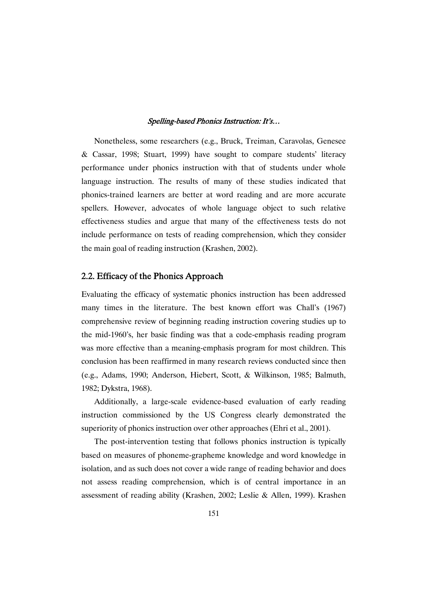Nonetheless, some researchers (e.g., Bruck, Treiman, Caravolas, Genesee & Cassar, 1998; Stuart, 1999) have sought to compare students' literacy performance under phonics instruction with that of students under whole language instruction. The results of many of these studies indicated that phonics-trained learners are better at word reading and are more accurate spellers. However, advocates of whole language object to such relative effectiveness studies and argue that many of the effectiveness tests do not include performance on tests of reading comprehension, which they consider the main goal of reading instruction (Krashen, 2002).

### 2.2. Efficacy of the Phonics Approach

Evaluating the efficacy of systematic phonics instruction has been addressed many times in the literature. The best known effort was Chall's (1967) comprehensive review of beginning reading instruction covering studies up to the mid-1960's, her basic finding was that a code-emphasis reading program was more effective than a meaning-emphasis program for most children. This conclusion has been reaffirmed in many research reviews conducted since then (e.g., Adams, 1990; Anderson, Hiebert, Scott, & Wilkinson, 1985; Balmuth, 1982; Dykstra, 1968).

Additionally, a large-scale evidence-based evaluation of early reading instruction commissioned by the US Congress clearly demonstrated the superiority of phonics instruction over other approaches (Ehri et al., 2001).

The post-intervention testing that follows phonics instruction is typically based on measures of phoneme-grapheme knowledge and word knowledge in isolation, and as such does not cover a wide range of reading behavior and does not assess reading comprehension, which is of central importance in an assessment of reading ability (Krashen, 2002; Leslie & Allen, 1999). Krashen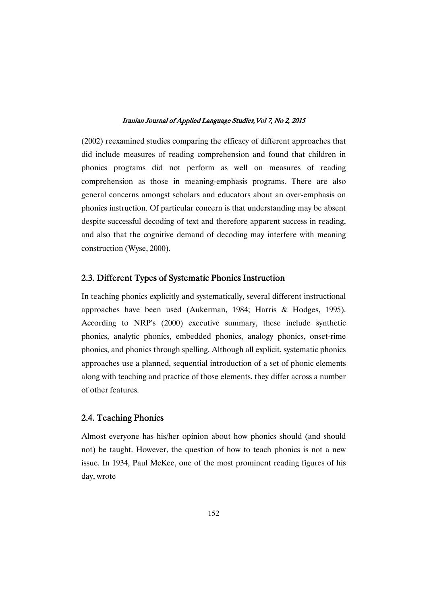(2002) reexamined studies comparing the efficacy of different approaches that did include measures of reading comprehension and found that children in phonics programs did not perform as well on measures of reading comprehension as those in meaning-emphasis programs. There are also general concerns amongst scholars and educators about an over-emphasis on phonics instruction. Of particular concern is that understanding may be absent despite successful decoding of text and therefore apparent success in reading, and also that the cognitive demand of decoding may interfere with meaning construction (Wyse, 2000).

# 2.3. Different Types of Systematic Phonics Instruction

In teaching phonics explicitly and systematically, several different instructional approaches have been used (Aukerman, 1984; Harris & Hodges, 1995). According to NRP's (2000) executive summary, these include synthetic phonics, analytic phonics, embedded phonics, analogy phonics, onset-rime phonics, and phonics through spelling. Although all explicit, systematic phonics approaches use a planned, sequential introduction of a set of phonic elements along with teaching and practice of those elements, they differ across a number of other features.

# 2.4. Teaching Phonics

Almost everyone has his/her opinion about how phonics should (and should not) be taught. However, the question of how to teach phonics is not a new issue. In 1934, Paul McKee, one of the most prominent reading figures of his day, wrote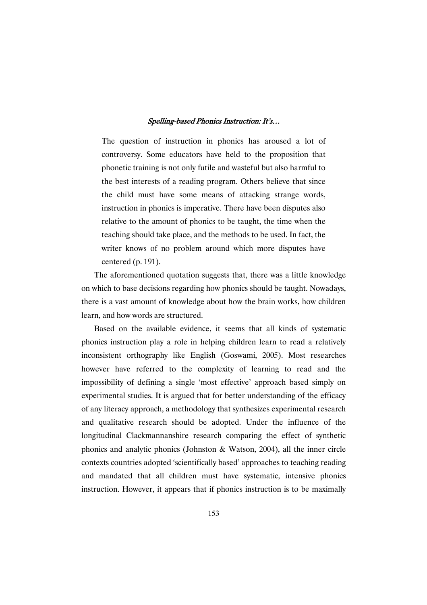The question of instruction in phonics has aroused a lot of controversy. Some educators have held to the proposition that phonetic training is not only futile and wasteful but also harmful to the best interests of a reading program. Others believe that since the child must have some means of attacking strange words, instruction in phonics is imperative. There have been disputes also relative to the amount of phonics to be taught, the time when the teaching should take place, and the methods to be used. In fact, the writer knows of no problem around which more disputes have centered (p. 191).

The aforementioned quotation suggests that, there was a little knowledge on which to base decisions regarding how phonics should be taught. Nowadays, there is a vast amount of knowledge about how the brain works, how children learn, and how words are structured.

Based on the available evidence, it seems that all kinds of systematic phonics instruction play a role in helping children learn to read a relatively inconsistent orthography like English (Goswami, 2005). Most researches however have referred to the complexity of learning to read and the impossibility of defining a single 'most effective' approach based simply on experimental studies. It is argued that for better understanding of the efficacy of any literacy approach, a methodology that synthesizes experimental research and qualitative research should be adopted. Under the influence of the longitudinal Clackmannanshire research comparing the effect of synthetic phonics and analytic phonics (Johnston & Watson, 2004), all the inner circle contexts countries adopted 'scientifically based' approaches to teaching reading and mandated that all children must have systematic, intensive phonics instruction. However, it appears that if phonics instruction is to be maximally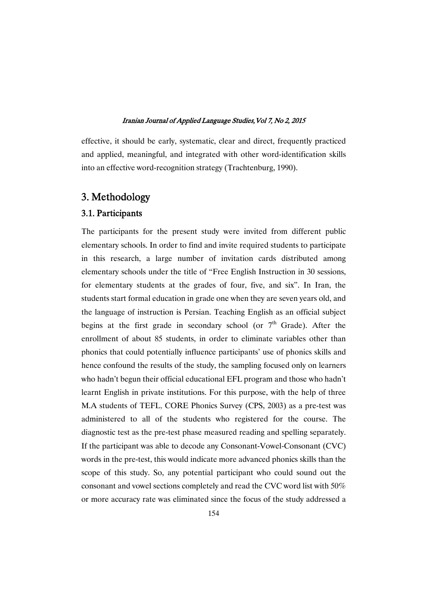effective, it should be early, systematic, clear and direct, frequently practiced and applied, meaningful, and integrated with other word-identification skills into an effective word-recognition strategy (Trachtenburg, 1990).

# 3.Methodology

# 3.1.Participants

The participants for the present study were invited from different public elementary schools. In order to find and invite required students to participate in this research, a large number of invitation cards distributed among elementary schools under the title of "Free English Instruction in 30 sessions, for elementary students at the grades of four, five, and six". In Iran, the students start formal education in grade one when they are seven years old, and the language of instruction is Persian. Teaching English as an official subject begins at the first grade in secondary school (or  $7<sup>th</sup>$  Grade). After the enrollment of about 85 students, in order to eliminate variables other than phonics that could potentially influence participants' use of phonics skills and hence confound the results of the study, the sampling focused only on learners who hadn't begun their official educational EFL program and those who hadn't learnt English in private institutions. For this purpose, with the help of three M.A students of TEFL, CORE Phonics Survey (CPS, 2003) as a pre-test was administered to all of the students who registered for the course. The diagnostic test as the pre-test phase measured reading and spelling separately. If the participant was able to decode any Consonant-Vowel-Consonant (CVC) words in the pre-test, this would indicate more advanced phonics skills than the scope of this study. So, any potential participant who could sound out the consonant and vowel sections completely and read the CVC word list with 50% or more accuracy rate was eliminated since the focus of the study addressed a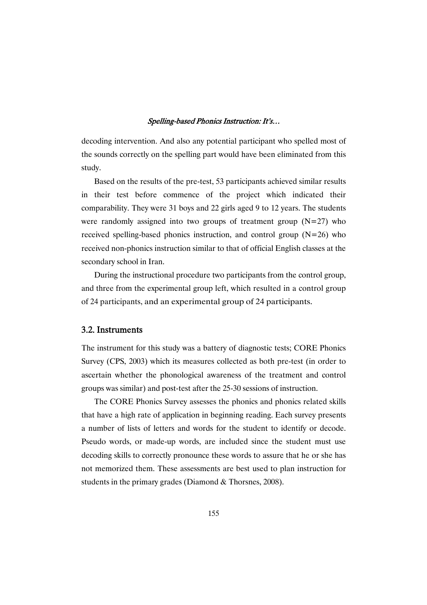decoding intervention. And also any potential participant who spelled most of the sounds correctly on the spelling part would have been eliminated from this study.

Based on the results of the pre-test, 53 participants achieved similar results in their test before commence of the project which indicated their comparability. They were 31 boys and 22 girls aged 9 to 12 years. The students were randomly assigned into two groups of treatment group  $(N=27)$  who received spelling-based phonics instruction, and control group  $(N=26)$  who received non-phonics instruction similar to that of official English classes at the secondary school in Iran.

During the instructional procedure two participants from the control group, and three from the experimental group left, which resulted in a control group of 24 participants, and an experimental group of 24 participants.

# 3.2.Instruments

The instrument for this study was a battery of diagnostic tests; CORE Phonics Survey (CPS, 2003) which its measures collected as both pre-test (in order to ascertain whether the phonological awareness of the treatment and control groups was similar) and post-test after the 25-30 sessions of instruction.

The CORE Phonics Survey assesses the phonics and phonics related skills that have a high rate of application in beginning reading. Each survey presents a number of lists of letters and words for the student to identify or decode. Pseudo words, or made-up words, are included since the student must use decoding skills to correctly pronounce these words to assure that he or she has not memorized them. These assessments are best used to plan instruction for students in the primary grades (Diamond & Thorsnes, 2008).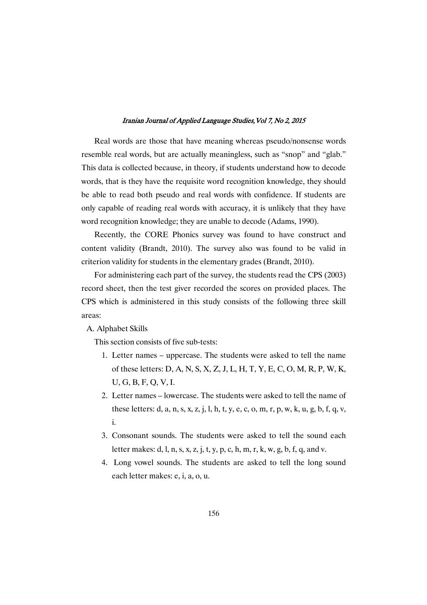Real words are those that have meaning whereas pseudo/nonsense words resemble real words, but are actually meaningless, such as "snop" and "glab." This data is collected because, in theory, if students understand how to decode words, that is they have the requisite word recognition knowledge, they should be able to read both pseudo and real words with confidence. If students are only capable of reading real words with accuracy, it is unlikely that they have word recognition knowledge; they are unable to decode (Adams, 1990).

Recently, the CORE Phonics survey was found to have construct and content validity (Brandt, 2010). The survey also was found to be valid in criterion validity for students in the elementary grades (Brandt, 2010).

For administering each part of the survey, the students read the CPS (2003) record sheet, then the test giver recorded the scores on provided places. The CPS which is administered in this study consists of the following three skill areas:

A. Alphabet Skills

This section consists of five sub-tests:

- 1. Letter names uppercase. The students were asked to tell the name of these letters: D, A, N, S, X, Z, J, L, H, T, Y, E, C, O, M, R, P, W, K, U, G, B, F, Q, V, I.
- 2. Letter names lowercase. The students were asked to tell the name of these letters: d, a, n, s, x, z, j, l, h, t, y, e, c, o, m, r, p, w, k, u, g, b, f, q, v, i.
- 3. Consonant sounds. The students were asked to tell the sound each letter makes: d, l, n, s, x, z, j, t, y, p, c, h, m, r, k, w, g, b, f, q, and v.
- 4. Long vowel sounds. The students are asked to tell the long sound each letter makes: e, i, a, o, u.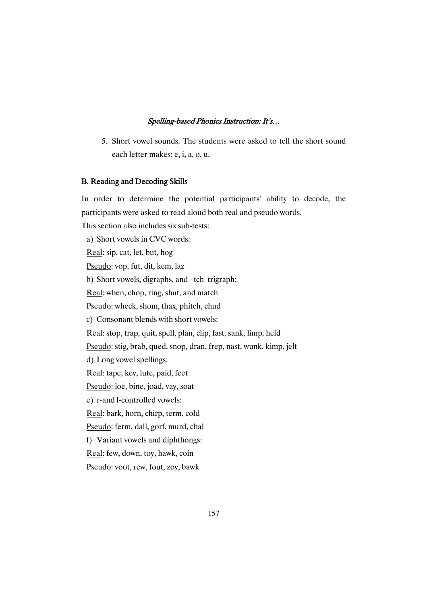5. Short vowel sounds. The students were asked to tell the short sound each letter makes: e, i, a, o, u.

### B. Reading and Decoding Skills

In order to determine the potential participants' ability to decode, the participants were asked to read aloud both real and pseudo words.

This section also includes six sub-tests:

a) Short vowels in CVC words: Real: sip, cat, let, but, hog Pseudo: vop, fut, dit, kem, laz b) Short vowels, digraphs, and –tch trigraph: Real: when, chop, ring, shut, and match Pseudo: wheck, shom, thax, phitch, chud c) Consonant blends with short vowels: Real: stop, trap, quit, spell, plan, clip, fast, sank, limp, held Pseudo: stig, brab, qued, snop, dran, frep, nast, wunk, kimp, jelt d) Long vowel spellings: Real: tape, key, lute, paid, feet Pseudo: loe, bine, joad, vay, soat e) r-and l-controlled vowels: Real: bark, horn, chirp, term, cold Pseudo: ferm, dall, gorf, murd, chal f) Variant vowels and diphthongs: Real: few, down, toy, hawk, coin

Pseudo: voot, rew, fout, zoy, bawk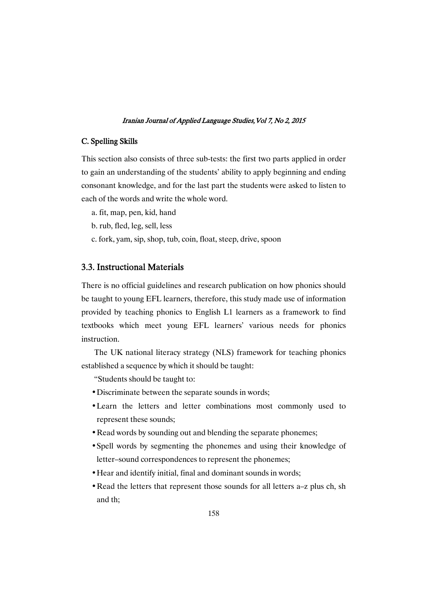### C. Spelling Skills

This section also consists of three sub-tests: the first two parts applied in order to gain an understanding of the students' ability to apply beginning and ending consonant knowledge, and for the last part the students were asked to listen to each of the words and write the whole word.

- a. fit, map, pen, kid, hand
- b. rub, fled, leg, sell, less
- c. fork, yam, sip, shop, tub, coin, float, steep, drive, spoon

# 3.3. Instructional Materials

There is no official guidelines and research publication on how phonics should be taught to young EFL learners, therefore, this study made use of information provided by teaching phonics to English L1 learners as a framework to find textbooks which meet young EFL learners' various needs for phonics instruction.

The UK national literacy strategy (NLS) framework for teaching phonics established a sequence by which it should be taught:

"Students should be taught to:

- Discriminate between the separate sounds in words;
- Learn the letters and letter combinations most commonly used to represent these sounds;
- Read words by sounding out and blending the separate phonemes;
- Spell words by segmenting the phonemes and using their knowledge of letter–sound correspondences to represent the phonemes;
- Hear and identify initial, final and dominant sounds in words;
- Read the letters that represent those sounds for all letters a–z plus ch, sh and th;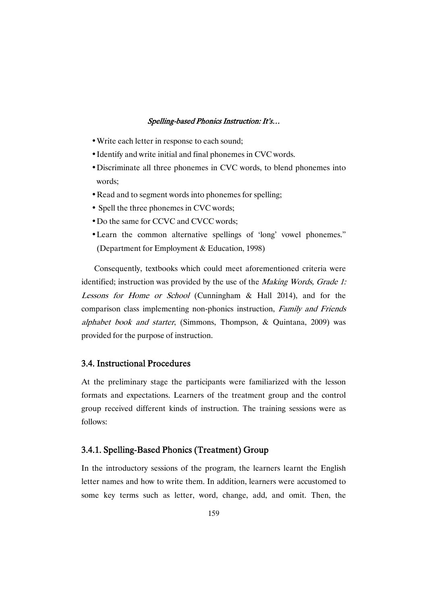- Write each letter in response to each sound;
- Identify and write initial and final phonemes in CVC words.
- Discriminate all three phonemes in CVC words, to blend phonemes into words;
- Read and to segment words into phonemes for spelling;
- Spell the three phonemes in CVC words;
- Do the same for CCVC and CVCC words;
- Learn the common alternative spellings of 'long' vowel phonemes." (Department for Employment & Education, 1998)

Consequently, textbooks which could meet aforementioned criteria were identified; instruction was provided by the use of the *Making Words*, *Grade 1:* Lessons for Home or School (Cunningham & Hall 2014), and for the comparison class implementing non-phonics instruction, Family and Friends alphabet book and starter, (Simmons, Thompson, & Quintana, 2009) was provided for the purpose of instruction.

# 3.4. Instructional Procedures

At the preliminary stage the participants were familiarized with the lesson formats and expectations. Learners of the treatment group and the control group received different kinds of instruction. The training sessions were as follows:

# 3.4.1. Spelling-Based Phonics (Treatment) Group

In the introductory sessions of the program, the learners learnt the English letter names and how to write them. In addition, learners were accustomed to some key terms such as letter, word, change, add, and omit. Then, the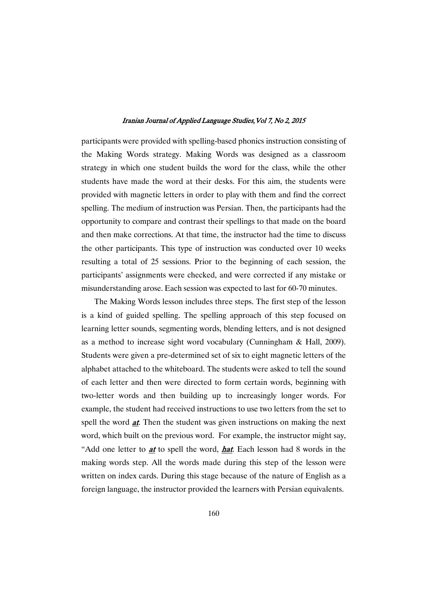participants were provided with spelling-based phonics instruction consisting of the Making Words strategy. Making Words was designed as a classroom strategy in which one student builds the word for the class, while the other students have made the word at their desks. For this aim, the students were provided with magnetic letters in order to play with them and find the correct spelling. The medium of instruction was Persian. Then, the participants had the opportunity to compare and contrast their spellings to that made on the board and then make corrections. At that time, the instructor had the time to discuss the other participants. This type of instruction was conducted over 10 weeks resulting a total of 25 sessions. Prior to the beginning of each session, the participants' assignments were checked, and were corrected if any mistake or misunderstanding arose. Each session was expected to last for 60-70 minutes.

The Making Words lesson includes three steps. The first step of the lesson is a kind of guided spelling. The spelling approach of this step focused on learning letter sounds, segmenting words, blending letters, and is not designed as a method to increase sight word vocabulary (Cunningham & Hall, 2009). Students were given a pre-determined set of six to eight magnetic letters of the alphabet attached to the whiteboard. The students were asked to tell the sound of each letter and then were directed to form certain words, beginning with two-letter words and then building up to increasingly longer words. For example, the student had received instructions to use two letters from the set to spell the word *at*. Then the student was given instructions on making the next word, which built on the previous word. For example, the instructor might say, "Add one letter to **at** to spell the word, **hat.** Each lesson had 8 words in the making words step. All the words made during this step of the lesson were written on index cards. During this stage because of the nature of English as a foreign language, the instructor provided the learners with Persian equivalents.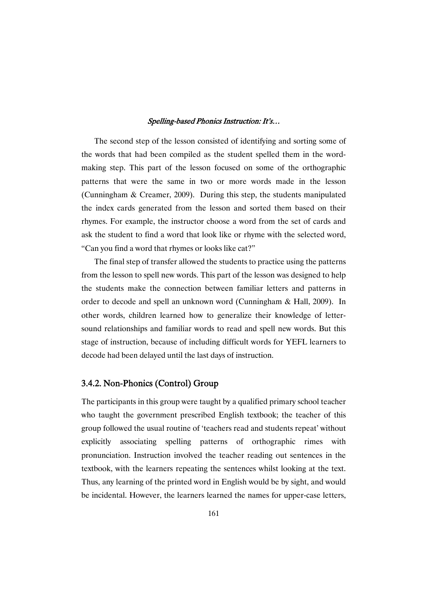The second step of the lesson consisted of identifying and sorting some of the words that had been compiled as the student spelled them in the wordmaking step. This part of the lesson focused on some of the orthographic patterns that were the same in two or more words made in the lesson (Cunningham & Creamer, 2009). During this step, the students manipulated the index cards generated from the lesson and sorted them based on their rhymes. For example, the instructor choose a word from the set of cards and ask the student to find a word that look like or rhyme with the selected word, "Can you find a word that rhymes or looks like cat?"

The final step of transfer allowed the students to practice using the patterns from the lesson to spell new words. This part of the lesson was designed to help the students make the connection between familiar letters and patterns in order to decode and spell an unknown word (Cunningham & Hall, 2009). In other words, children learned how to generalize their knowledge of lettersound relationships and familiar words to read and spell new words. But this stage of instruction, because of including difficult words for YEFL learners to decode had been delayed until the last days of instruction.

# 3.4.2. Non-Phonics (Control) Group

The participants in this group were taught by a qualified primary school teacher who taught the government prescribed English textbook; the teacher of this group followed the usual routine of 'teachers read and students repeat' without explicitly associating spelling patterns of orthographic rimes with pronunciation. Instruction involved the teacher reading out sentences in the textbook, with the learners repeating the sentences whilst looking at the text. Thus, any learning of the printed word in English would be by sight, and would be incidental. However, the learners learned the names for upper-case letters,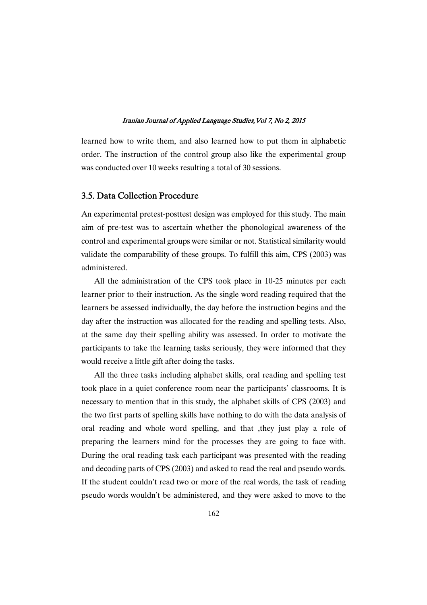learned how to write them, and also learned how to put them in alphabetic order. The instruction of the control group also like the experimental group was conducted over 10 weeks resulting a total of 30 sessions.

### 3.5.DataCollectionProcedure

An experimental pretest-posttest design was employed for this study. The main aim of pre-test was to ascertain whether the phonological awareness of the control and experimental groups were similar or not. Statistical similarity would validate the comparability of these groups. To fulfill this aim, CPS (2003) was administered.

All the administration of the CPS took place in 10-25 minutes per each learner prior to their instruction. As the single word reading required that the learners be assessed individually, the day before the instruction begins and the day after the instruction was allocated for the reading and spelling tests. Also, at the same day their spelling ability was assessed. In order to motivate the participants to take the learning tasks seriously, they were informed that they would receive a little gift after doing the tasks.

All the three tasks including alphabet skills, oral reading and spelling test took place in a quiet conference room near the participants' classrooms. It is necessary to mention that in this study, the alphabet skills of CPS (2003) and the two first parts of spelling skills have nothing to do with the data analysis of oral reading and whole word spelling, and that ,they just play a role of preparing the learners mind for the processes they are going to face with. During the oral reading task each participant was presented with the reading and decoding parts of CPS (2003) and asked to read the real and pseudo words. If the student couldn't read two or more of the real words, the task of reading pseudo words wouldn't be administered, and they were asked to move to the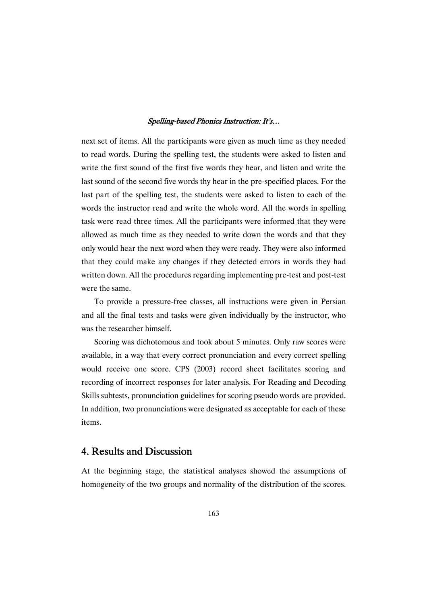next set of items. All the participants were given as much time as they needed to read words. During the spelling test, the students were asked to listen and write the first sound of the first five words they hear, and listen and write the last sound of the second five words thy hear in the pre-specified places. For the last part of the spelling test, the students were asked to listen to each of the words the instructor read and write the whole word. All the words in spelling task were read three times. All the participants were informed that they were allowed as much time as they needed to write down the words and that they only would hear the next word when they were ready. They were also informed that they could make any changes if they detected errors in words they had written down. All the procedures regarding implementing pre-test and post-test were the same.

To provide a pressure-free classes, all instructions were given in Persian and all the final tests and tasks were given individually by the instructor, who was the researcher himself.

Scoring was dichotomous and took about 5 minutes. Only raw scores were available, in a way that every correct pronunciation and every correct spelling would receive one score. CPS (2003) record sheet facilitates scoring and recording of incorrect responses for later analysis. For Reading and Decoding Skills subtests, pronunciation guidelines for scoring pseudo words are provided. In addition, two pronunciations were designated as acceptable for each of these items.

# 4. Results and Discussion

At the beginning stage, the statistical analyses showed the assumptions of homogeneity of the two groups and normality of the distribution of the scores.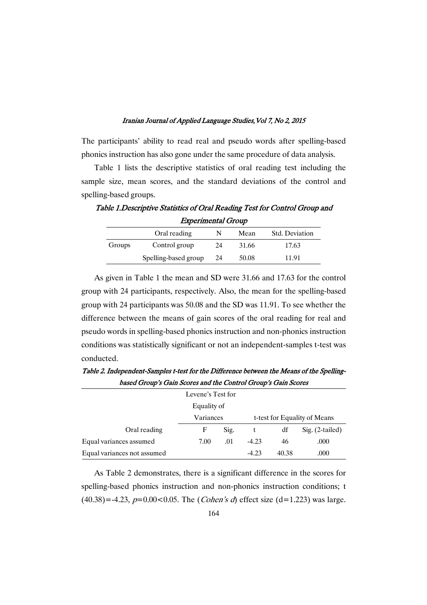The participants' ability to read real and pseudo words after spelling-based phonics instruction has also gone under the same procedure of data analysis.

Table 1 lists the descriptive statistics of oral reading test including the sample size, mean scores, and the standard deviations of the control and spelling-based groups.

Table 1. Descriptive Statistics of Oral Reading Test for Control Group and

Experimental Group Oral reading N Mean Std. Deviation Groups Control group 24 31.66 17.63 Spelling-based group 24 50.08 11.91

As given in Table 1 the mean and SD were 31.66 and 17.63 for the control group with 24 participants, respectively. Also, the mean for the spelling-based group with 24 participants was 50.08 and the SD was 11.91. To see whether the difference between the means of gain scores of the oral reading for real and pseudo words in spelling-based phonics instruction and non-phonics instruction conditions was statistically significant or not an independent-samples t-test was conducted.

| <i>cased Stoup's Gain becres and the control Stoup's Gain becres</i> |           |      |                              |       |                   |  |  |  |
|----------------------------------------------------------------------|-----------|------|------------------------------|-------|-------------------|--|--|--|
| Levene's Test for                                                    |           |      |                              |       |                   |  |  |  |
| Equality of                                                          |           |      |                              |       |                   |  |  |  |
|                                                                      | Variances |      | t-test for Equality of Means |       |                   |  |  |  |
| Oral reading                                                         | F         | Sig. |                              | df    | $Sig. (2-tailed)$ |  |  |  |
| Equal variances assumed                                              | 7.00      | .01  | $-4.23$                      | 46    | .000              |  |  |  |
| Equal variances not assumed                                          |           |      | $-4.23$                      | 40.38 | .000              |  |  |  |

Table 2. Independent-Samples t-test for the Difference between the Means of the SpellingbasedGroup'sGainScoresandtheControlGroup'sGainScores

As Table 2 demonstrates, there is a significant difference in the scores for spelling-based phonics instruction and non-phonics instruction conditions; t  $(40.38) = -4.23$ ,  $p=0.00 < 0.05$ . The (*Cohen's d*) effect size (d=1.223) was large.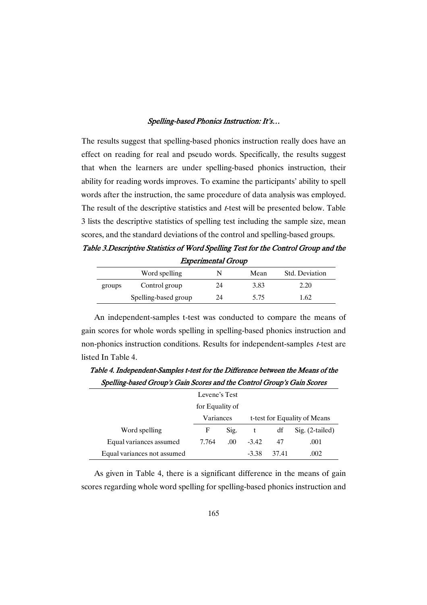The results suggest that spelling-based phonics instruction really does have an effect on reading for real and pseudo words. Specifically, the results suggest that when the learners are under spelling-based phonics instruction, their ability for reading words improves. To examine the participants' ability to spell words after the instruction, the same procedure of data analysis was employed. The result of the descriptive statistics and <sup>t</sup>-test will be presented below. Table 3 lists the descriptive statistics of spelling test including the sample size, mean scores, and the standard deviations of the control and spelling-based groups.

Table 3.Descriptive Statistics of Word Spelling Test for the Control Group and the Experimental Group

|        | Word spelling        | N  | Mean | <b>Std.</b> Deviation |
|--------|----------------------|----|------|-----------------------|
| groups | Control group        | 24 | 3.83 | 2.20                  |
|        | Spelling-based group | 24 | 5.75 | 1.62                  |

An independent-samples t-test was conducted to compare the means of gain scores for whole words spelling in spelling-based phonics instruction and non-phonics instruction conditions. Results for independent-samples *t*-test are listed In Table 4.

Word spelling Levene's Test for Equality of Variances t-test for Equality of Means F Sig. t df Sig. (2-tailed) Equal variances assumed  $7.764$  .00  $-3.42$  47 .001 Equal variances not assumed  $-3.38$  37.41 .002

Table 4. Independent-Samples t-test for the Difference between the Means of the Spelling-based Group's Gain Scores and the Control Group's Gain Scores

As given in Table 4, there is a significant difference in the means of gain scores regarding whole word spelling for spelling-based phonics instruction and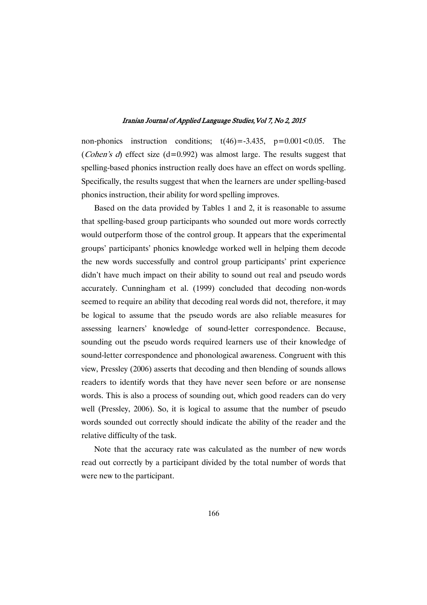non-phonics instruction conditions;  $t(46) = -3.435$ ,  $p = 0.001 < 0.05$ . The (*Cohen's d*) effect size (d=0.992) was almost large. The results suggest that spelling-based phonics instruction really does have an effect on words spelling. Specifically, the results suggest that when the learners are under spelling-based phonics instruction, their ability for word spelling improves.

Based on the data provided by Tables 1 and 2, it is reasonable to assume that spelling-based group participants who sounded out more words correctly would outperform those of the control group. It appears that the experimental groups' participants' phonics knowledge worked well in helping them decode the new words successfully and control group participants' print experience didn't have much impact on their ability to sound out real and pseudo words accurately. Cunningham et al. (1999) concluded that decoding non-words seemed to require an ability that decoding real words did not, therefore, it may be logical to assume that the pseudo words are also reliable measures for assessing learners' knowledge of sound-letter correspondence. Because, sounding out the pseudo words required learners use of their knowledge of sound-letter correspondence and phonological awareness. Congruent with this view, Pressley (2006) asserts that decoding and then blending of sounds allows readers to identify words that they have never seen before or are nonsense words. This is also a process of sounding out, which good readers can do very well (Pressley, 2006). So, it is logical to assume that the number of pseudo words sounded out correctly should indicate the ability of the reader and the relative difficulty of the task.

Note that the accuracy rate was calculated as the number of new words read out correctly by a participant divided by the total number of words that were new to the participant.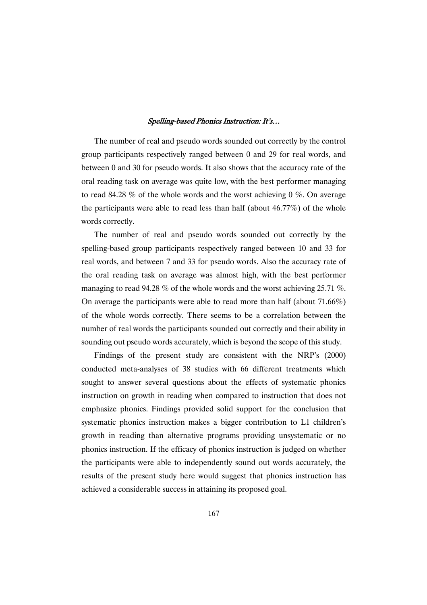The number of real and pseudo words sounded out correctly by the control group participants respectively ranged between 0 and 29 for real words, and between 0 and 30 for pseudo words. It also shows that the accuracy rate of the oral reading task on average was quite low, with the best performer managing to read 84.28 % of the whole words and the worst achieving  $0\%$ . On average the participants were able to read less than half (about 46.77%) of the whole words correctly.

The number of real and pseudo words sounded out correctly by the spelling-based group participants respectively ranged between 10 and 33 for real words, and between 7 and 33 for pseudo words. Also the accuracy rate of the oral reading task on average was almost high, with the best performer managing to read 94.28 % of the whole words and the worst achieving 25.71 %. On average the participants were able to read more than half (about 71.66%) of the whole words correctly. There seems to be a correlation between the number of real words the participants sounded out correctly and their ability in sounding out pseudo words accurately, which is beyond the scope of this study.

Findings of the present study are consistent with the NRP's (2000) conducted meta-analyses of 38 studies with 66 different treatments which sought to answer several questions about the effects of systematic phonics instruction on growth in reading when compared to instruction that does not emphasize phonics. Findings provided solid support for the conclusion that systematic phonics instruction makes a bigger contribution to L1 children's growth in reading than alternative programs providing unsystematic or no phonics instruction. If the efficacy of phonics instruction is judged on whether the participants were able to independently sound out words accurately, the results of the present study here would suggest that phonics instruction has achieved a considerable success in attaining its proposed goal.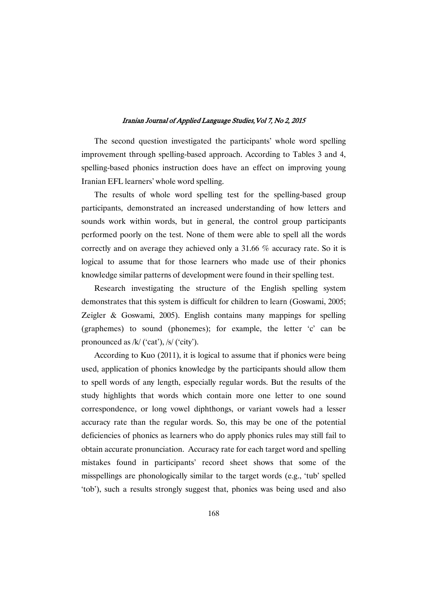The second question investigated the participants' whole word spelling improvement through spelling-based approach. According to Tables 3 and 4, spelling-based phonics instruction does have an effect on improving young Iranian EFL learners' whole word spelling.

The results of whole word spelling test for the spelling-based group participants, demonstrated an increased understanding of how letters and sounds work within words, but in general, the control group participants performed poorly on the test. None of them were able to spell all the words correctly and on average they achieved only a 31.66 % accuracy rate. So it is logical to assume that for those learners who made use of their phonics knowledge similar patterns of development were found in their spelling test.

Research investigating the structure of the English spelling system demonstrates that this system is difficult for children to learn (Goswami, 2005; Zeigler & Goswami, 2005). English contains many mappings for spelling (graphemes) to sound (phonemes); for example, the letter 'c' can be pronounced as /k/ ('cat'), /s/ ('city').

According to Kuo (2011), it is logical to assume that if phonics were being used, application of phonics knowledge by the participants should allow them to spell words of any length, especially regular words. But the results of the study highlights that words which contain more one letter to one sound correspondence, or long vowel diphthongs, or variant vowels had a lesser accuracy rate than the regular words. So, this may be one of the potential deficiencies of phonics as learners who do apply phonics rules may still fail to obtain accurate pronunciation. Accuracy rate for each target word and spelling mistakes found in participants' record sheet shows that some of the misspellings are phonologically similar to the target words (e.g., 'tub' spelled 'tob'), such a results strongly suggest that, phonics was being used and also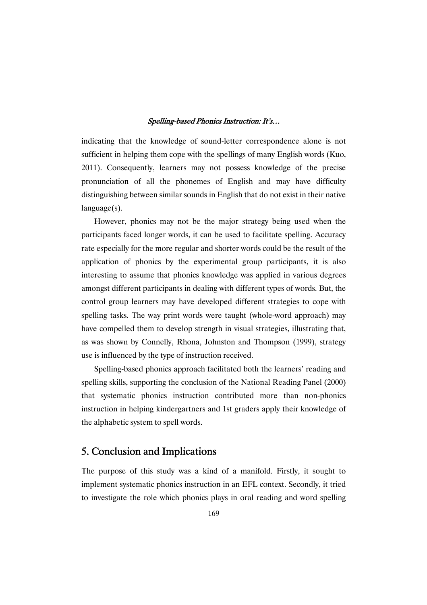indicating that the knowledge of sound-letter correspondence alone is not sufficient in helping them cope with the spellings of many English words (Kuo, 2011). Consequently, learners may not possess knowledge of the precise pronunciation of all the phonemes of English and may have difficulty distinguishing between similar sounds in English that do not exist in their native language(s).

However, phonics may not be the major strategy being used when the participants faced longer words, it can be used to facilitate spelling. Accuracy rate especially for the more regular and shorter words could be the result of the application of phonics by the experimental group participants, it is also interesting to assume that phonics knowledge was applied in various degrees amongst different participants in dealing with different types of words. But, the control group learners may have developed different strategies to cope with spelling tasks. The way print words were taught (whole-word approach) may have compelled them to develop strength in visual strategies, illustrating that, as was shown by Connelly, Rhona, Johnston and Thompson (1999), strategy use is influenced by the type of instruction received.

Spelling-based phonics approach facilitated both the learners' reading and spelling skills, supporting the conclusion of the National Reading Panel (2000) that systematic phonics instruction contributed more than non-phonics instruction in helping kindergartners and 1st graders apply their knowledge of the alphabetic system to spell words.

# 5. Conclusion and Implications

The purpose of this study was a kind of a manifold. Firstly, it sought to implement systematic phonics instruction in an EFL context. Secondly, it tried to investigate the role which phonics plays in oral reading and word spelling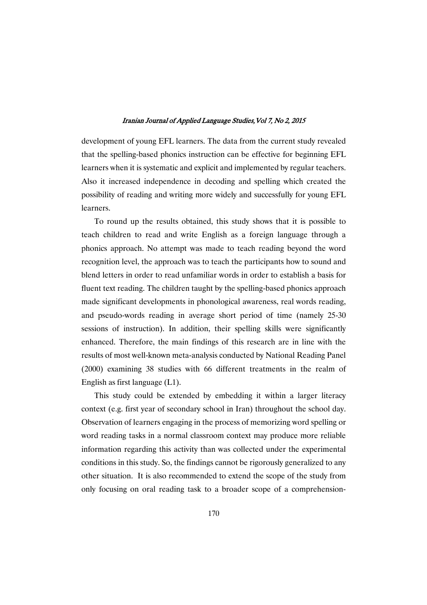development of young EFL learners. The data from the current study revealed that the spelling-based phonics instruction can be effective for beginning EFL learners when it is systematic and explicit and implemented by regular teachers. Also it increased independence in decoding and spelling which created the possibility of reading and writing more widely and successfully for young EFL learners.

To round up the results obtained, this study shows that it is possible to teach children to read and write English as a foreign language through a phonics approach. No attempt was made to teach reading beyond the word recognition level, the approach was to teach the participants how to sound and blend letters in order to read unfamiliar words in order to establish a basis for fluent text reading. The children taught by the spelling-based phonics approach made significant developments in phonological awareness, real words reading, and pseudo-words reading in average short period of time (namely 25-30 sessions of instruction). In addition, their spelling skills were significantly enhanced. Therefore, the main findings of this research are in line with the results of most well-known meta-analysis conducted by National Reading Panel (2000) examining 38 studies with 66 different treatments in the realm of English as first language (L1).

This study could be extended by embedding it within a larger literacy context (e.g. first year of secondary school in Iran) throughout the school day. Observation of learners engaging in the process of memorizing word spelling or word reading tasks in a normal classroom context may produce more reliable information regarding this activity than was collected under the experimental conditions in this study. So, the findings cannot be rigorously generalized to any other situation. It is also recommended to extend the scope of the study from only focusing on oral reading task to a broader scope of a comprehension-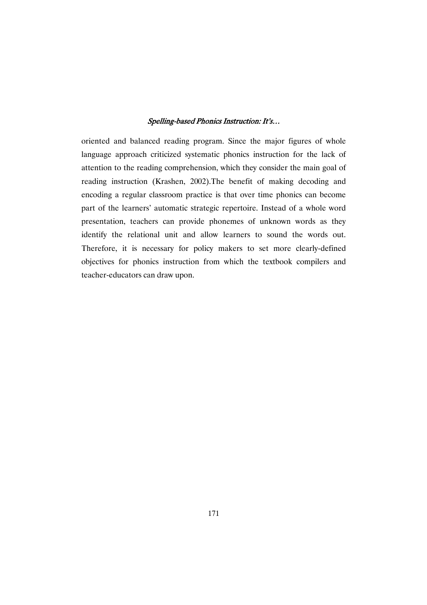oriented and balanced reading program. Since the major figures of whole language approach criticized systematic phonics instruction for the lack of attention to the reading comprehension, which they consider the main goal of reading instruction (Krashen, 2002).The benefit of making decoding and encoding a regular classroom practice is that over time phonics can become part of the learners' automatic strategic repertoire. Instead of a whole word presentation, teachers can provide phonemes of unknown words as they identify the relational unit and allow learners to sound the words out. Therefore, it is necessary for policy makers to set more clearly-defined objectives for phonics instruction from which the textbook compilers and teacher-educators can draw upon.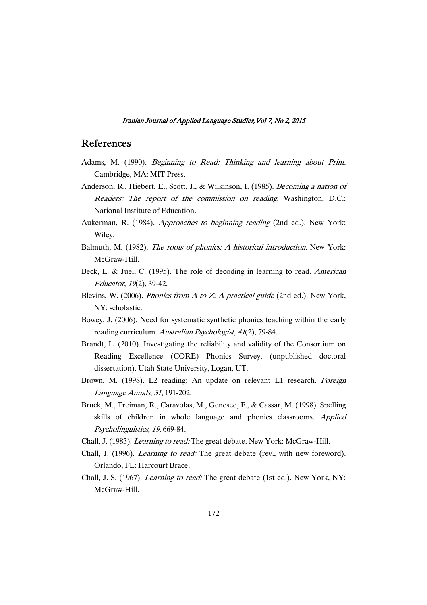# References

- Adams, M. (1990). *Beginning to Read: Thinking and learning about Print.* Cambridge, MA: MIT Press.
- Anderson, R., Hiebert, E., Scott, J., & Wilkinson, I. (1985). *Becoming a nation of* Readers: The report of the commission on reading. Washington, D.C.: National Institute of Education.
- Aukerman, R. (1984). *Approaches to beginning reading* (2nd ed.). New York: Wiley.
- Balmuth, M. (1982). The roots of phonics: <sup>A</sup> historical introduction. New York: McGraw-Hill.
- Beck, L. & Juel, C. (1995). The role of decoding in learning to read. American Educator, <sup>19</sup>(2), 39-42.
- Blevins, W. (2006). Phonics from <sup>A</sup> to Z: <sup>A</sup> practical guide (2nd ed.). New York, NY: scholastic.
- Bowey, J. (2006). Need for systematic synthetic phonics teaching within the early reading curriculum. Australian Psychologist, <sup>41</sup>(2), 79-84.
- Brandt, L. (2010). Investigating the reliability and validity of the Consortium on Reading Excellence (CORE) Phonics Survey, (unpublished doctoral dissertation). Utah State University, Logan, UT.
- Brown, M. (1998). L2 reading: An update on relevant L1 research. Foreign Language Annals, <sup>31</sup>, 191-202.
- Bruck, M., Treiman, R., Caravolas, M., Genesee, F., & Cassar, M. (1998). Spelling skills of children in whole language and phonics classrooms. Applied Psycholinguistics, <sup>19</sup>, 669-84.
- Chall, J. (1983). Learning to read: The great debate. New York: McGraw-Hill.
- Chall, J. (1996). Learning to read: The great debate (rev., with new foreword). Orlando, FL: Harcourt Brace.
- Chall, J. S. (1967). Learning to read: The great debate (1st ed.). New York, NY: McGraw-Hill.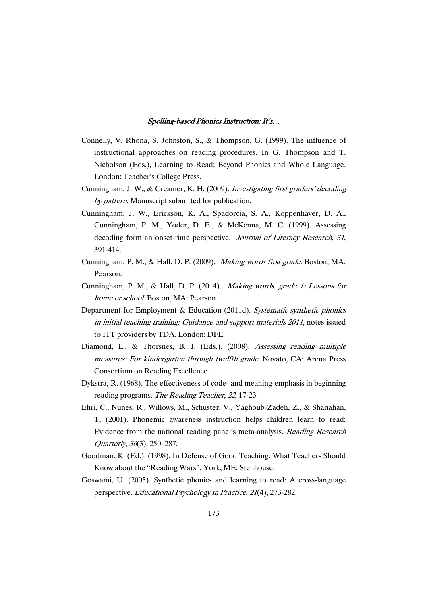- Connelly, V. Rhona, S. Johnston, S., & Thompson, G. (1999). The influence of instructional approaches on reading procedures. In G. Thompson and T. Nicholson (Eds.), Learning to Read: Beyond Phonics and Whole Language. London: Teacher's College Press.
- Cunningham, J. W., & Creamer, K. H. (2009). Investigating first graders' decoding by pattern. Manuscript submitted for publication.
- Cunningham, J. W., Erickson, K. A., Spadorcia, S. A., Koppenhaver, D. A., Cunningham, P. M., Yoder, D. E., & McKenna, M. C. (1999). Assessing decoding form an onset-rime perspective. Journal of Literacy Research, 31, 391-414.
- Cunningham, P. M., & Hall, D. P. (2009). Making words first grade. Boston, MA: Pearson.
- Cunningham, P. M., & Hall, D. P. (2014). Making words, grade 1: Lessons for home or school. Boston, MA: Pearson.
- Department for Employment & Education (2011d). Systematic synthetic phonics in initial teaching training: Guidance and support materials <sup>2011</sup>, notes issued to ITT providers by TDA. London: DFE
- Diamond, L., & Thorsnes, B. J. (Eds.). (2008). Assessing reading multiple measures: For kindergarten through twelfth grade. Novato, CA: Arena Press Consortium on Reading Excellence.
- Dykstra, R. (1968). The effectiveness of code- and meaning-emphasis in beginning reading programs. The Reading Teacher, <sup>22</sup>, 17-23.
- Ehri, C., Nunes, R., Willows, M., Schuster, V., Yaghoub-Zadeh, Z., & Shanahan, T. (2001). Phonemic awareness instruction helps children learn to read: Evidence from the national reading panel's meta-analysis. Reading Research Quarterly, <sup>36</sup>(3), 250–287.
- Goodman, K. (Ed.). (1998). In Defense of Good Teaching: What Teachers Should Know about the "Reading Wars". York, ME: Stenhouse.
- Goswami, U. (2005). Synthetic phonics and learning to read: A cross-language perspective. Educational Psychology in Practice, <sup>21</sup>(4), 273-282.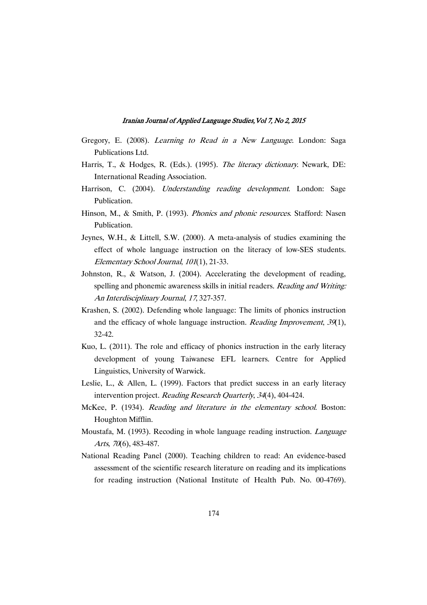- Gregory, E. (2008). Learning to Read in <sup>a</sup> New Language. London: Saga Publications Ltd.
- Harris, T., & Hodges, R. (Eds.). (1995). The literacy dictionary. Newark, DE: International Reading Association.
- Harrison, C. (2004). *Understanding reading development*. London: Sage Publication.
- Hinson, M., & Smith, P. (1993). Phonics and phonic resources. Stafford: Nasen Publication.
- Jeynes, W.H., & Littell, S.W. (2000). A meta-analysis of studies examining the effect of whole language instruction on the literacy of low-SES students. Elementary School Journal, <sup>101</sup>(1), 21-33.
- Johnston, R., & Watson, J. (2004). Accelerating the development of reading, spelling and phonemic awareness skills in initial readers. Reading and Writing: An Interdisciplinary Journal, <sup>17</sup>, 327-357.
- Krashen, S. (2002). Defending whole language: The limits of phonics instruction and the efficacy of whole language instruction. Reading Improvement, 39(1), 32-42.
- Kuo, L. (2011). The role and efficacy of phonics instruction in the early literacy development of young Taiwanese EFL learners. Centre for Applied Linguistics, University of Warwick.
- Leslie, L., & Allen, L. (1999). Factors that predict success in an early literacy intervention project. Reading Research Quarterly, <sup>34</sup>(4), 404-424.
- McKee, P. (1934). Reading and literature in the elementary school. Boston: Houghton Mifflin.
- Moustafa, M. (1993). Recoding in whole language reading instruction. Language Arts, 70(6), 483-487.
- National Reading Panel (2000). Teaching children to read: An evidence-based assessment of the scientific research literature on reading and its implications for reading instruction (National Institute of Health Pub. No. 00-4769).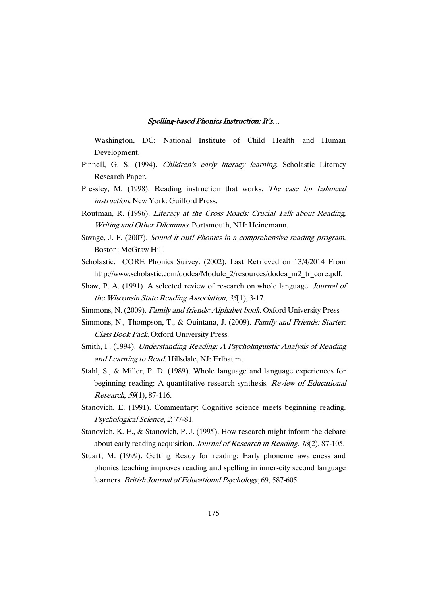Washington, DC: National Institute of Child Health and Human Development.

- Pinnell, G. S. (1994). Children's early literacy learning. Scholastic Literacy Research Paper.
- Pressley, M. (1998). Reading instruction that works: The case for balanced instruction. New York: Guilford Press.
- Routman, R. (1996). Literacy at the Cross Roads: Crucial Talk about Reading, Writing and Other Dilemmas. Portsmouth, NH: Heinemann.
- Savage, J. F. (2007). Sound it out! Phonics in <sup>a</sup> comprehensive reading program. Boston: McGraw Hill.
- Scholastic. CORE Phonics Survey. (2002). Last Retrieved on 13/4/2014 From http://www.scholastic.com/dodea/Module\_2/resources/dodea\_m2\_tr\_core.pdf.
- Shaw, P. A. (1991). A selected review of research on whole language. Journal of the Wisconsin State Reading Association, <sup>35</sup>(1), 3-17.
- Simmons, N. (2009). Family and friends: Alphabet book. Oxford University Press
- Simmons, N., Thompson, T., & Quintana, J. (2009). Family and Friends: Starter: Class Book Pack. Oxford University Press.
- Smith, F. (1994). Understanding Reading: <sup>A</sup> Psycholinguistic Analysis of Reading and Learning to Read. Hillsdale, NJ: Erlbaum.
- Stahl, S., & Miller, P. D. (1989). Whole language and language experiences for beginning reading: A quantitative research synthesis. Review of Educational Research, 59(1), 87-116.
- Stanovich, E. (1991). Commentary: Cognitive science meets beginning reading. Psychological Science, <sup>2</sup>, 77-81.
- Stanovich, K. E., & Stanovich, P. J. (1995). How research might inform the debate about early reading acquisition. Journal of Research in Reading, <sup>18</sup>(2), 87-105.
- Stuart, M. (1999). Getting Ready for reading: Early phoneme awareness and phonics teaching improves reading and spelling in inner-city second language learners. British Journal of Educational Psychology, 69, 587-605.